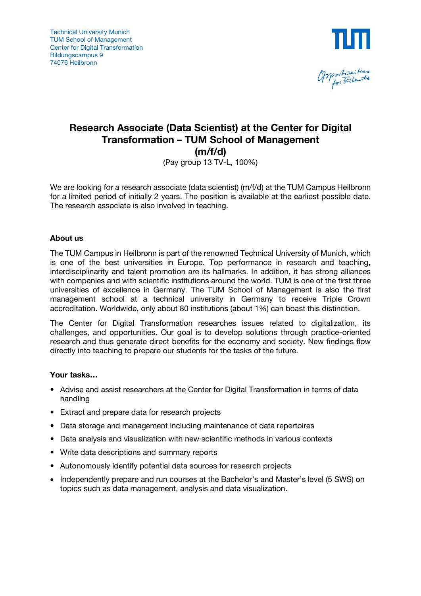



# **Research Associate (Data Scientist) at the Center for Digital Transformation – TUM School of Management (m/f/d)**

(Pay group 13 TV-L, 100%)

We are looking for a research associate (data scientist) (m/f/d) at the TUM Campus Heilbronn for a limited period of initially 2 years. The position is available at the earliest possible date. The research associate is also involved in teaching.

### **About us**

The TUM Campus in Heilbronn is part of the renowned Technical University of Munich, which is one of the best universities in Europe. Top performance in research and teaching, interdisciplinarity and talent promotion are its hallmarks. In addition, it has strong alliances with companies and with scientific institutions around the world. TUM is one of the first three universities of excellence in Germany. The TUM School of Management is also the first management school at a technical university in Germany to receive Triple Crown accreditation. Worldwide, only about 80 institutions (about 1%) can boast this distinction.

The Center for Digital Transformation researches issues related to digitalization, its challenges, and opportunities. Our goal is to develop solutions through practice-oriented research and thus generate direct benefits for the economy and society. New findings flow directly into teaching to prepare our students for the tasks of the future.

### **Your tasks…**

- Advise and assist researchers at the Center for Digital Transformation in terms of data handling
- Extract and prepare data for research projects
- Data storage and management including maintenance of data repertoires
- Data analysis and visualization with new scientific methods in various contexts
- Write data descriptions and summary reports
- Autonomously identify potential data sources for research projects
- Independently prepare and run courses at the Bachelor's and Master's level (5 SWS) on topics such as data management, analysis and data visualization.